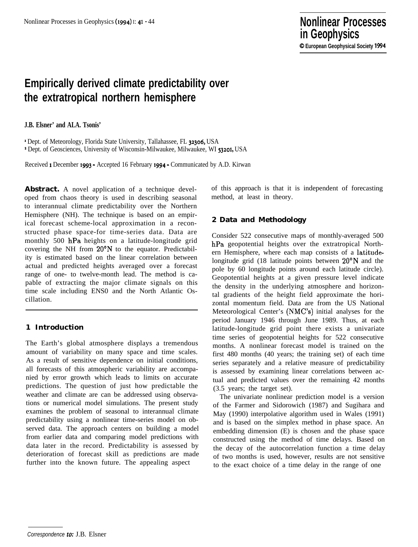# **Empirically derived climate predictability over the extratropical northern hemisphere**

**J.B. Elsner' and ALA. Tsonis'**

' Dept. of Meteorology, Florida State University, Tallahassee, FL 32306, USA \* Dept. of Geosciences, University of Wisconsin-Milwaukee, Milwaukee, WI 53201, USA

Received 1 December 1993 - Accepted 16 February 1994 - Communicated by A.D. Kirwan

Abstract. A novel application of a technique developed from chaos theory is used in describing seasonal to interannual climate predictability over the Northern Hemisphere (NH). The technique is based on an empirical forecast scheme-local approximation in a reconstructed phase space-for time-series data. Data are monthly 500 hPa heights on a latitude-longitude grid covering the NH from 20°N to the equator. Predictability is estimated based on the linear correlation between actual and predicted heights averaged over a forecast range of one- to twelve-month lead. The method is capable of extracting the major climate signals on this time scale including ENS0 and the North Atlantic Oscillation.

### **1 Introduction**

The Earth's global atmosphere displays a tremendous amount of variability on many space and time scales. As a result of sensitive dependence on initial conditions, all forecasts of this atmospheric variability are accompanied by error growth which leads to limits on accurate predictions. The question of just how predictable the weather and climate are can be addressed using observations or numerical model simulations. The present study examines the problem of seasonal to interannual climate predictability using a nonlinear time-series model on observed data. The approach centers on building a model from earlier data and comparing model predictions with data later in the record. Predictability is assessed by deterioration of forecast skill as predictions are made further into the known future. The appealing aspect

of this approach is that it is independent of forecasting method, at least in theory.

### **2 Data and Methodology**

Consider 522 consecutive maps of monthly-averaged 500 hPa geopotential heights over the extratropical Northern Hemisphere, where each map consists of a latitudelongitude grid (18 latitude points between 20°N and the pole by 60 longitude points around each latitude circle). Geopotential heights at a given pressure level indicate the density in the underlying atmosphere and horizontal gradients of the height field approximate the horizontal momentum field. Data are from the US National Meteorological Center's (NMC's) initial analyses for the period January 1946 through June 1989. Thus, at each latitude-longitude grid point there exists a univariate time series of geopotential heights for 522 consecutive months. A nonlinear forecast model is trained on the first 480 months (40 years; the training set) of each time series separately and a relative measure of predictability is assessed by examining linear correlations between actual and predicted values over the remaining 42 months (3.5 years; the target set).

The univariate nonlinear prediction model is a version of the Farmer and Sidorowich (1987) and Sugihara and May (1990) interpolative algorithm used in Wales (1991) and is based on the simplex method in phase space. An embedding dimension (E) is chosen and the phase space constructed using the method of time delays. Based on the decay of the autocorrelation function a time delay of two months is used, however, results are not sensitive to the exact choice of a time delay in the range of one

*Correspondence* to: J.B. Elsner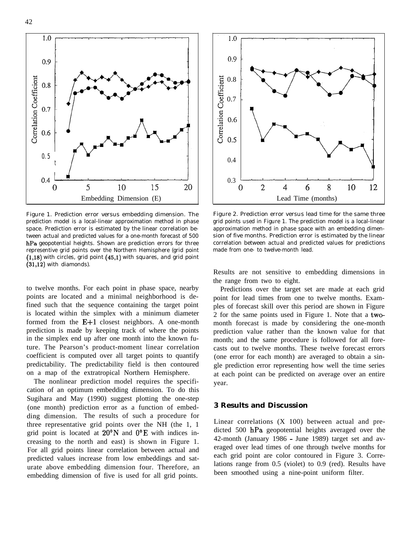1.0 0.9 Correlation Coefficient  $0.8$  $0.7$ 0.6 0.5 t  $0.4$ 5 10 15 20 0

Figure 1. Prediction error versus embedding dimension. The prediction model is a local-linear approximation method in phase space. Prediction error is estimated by the linear correlation between actual and predicted values for a one-month forecast of 500 hPa geopotential heights. Shown are prediction errors for three representive grid points over the Northern Hemisphere (grid point  $(1,18)$  with circles, grid point  $(45,1)$  with squares, and grid point  $(31,12)$  with diamonds).

to twelve months. For each point in phase space, nearby points are located and a minimal neighborhood is defined such that the sequence containing the target point is located within the simplex with a minimum diameter formed from the  $E+1$  closest neighbors. A one-month prediction is made by keeping track of where the points in the simplex end up after one month into the known future. The Pearson's product-moment linear correlation coefficient is computed over all target points to quantify predictability. The predictability field is then contoured on a map of the extratropical Northern Hemisphere.

The nonlinear prediction model requires the specification of an optimum embedding dimension. To do this Sugihara and May (1990) suggest plotting the one-step (one month) prediction error as a function of embedding dimension. The results of such a procedure for three representative grid points over the NH (the 1, 1 grid point is located at  $20^{\circ}$ N and  $0^{\circ}$ E with indices increasing to the north and east) is shown in Figure 1. For all grid points linear correlation between actual and predicted values increase from low embeddings and saturate above embedding dimension four. Therefore, an embedding dimension of five is used for all grid points.



Figure 2. Prediction error versus lead time for the same three grid points used in Figure 1. The prediction model is a local-linear approximation method in phase space with an embedding dimension of five months. Prediction error is estimated by the linear correlation between actual and predicted values for predictions made from one- to twelve-month lead.

Results are not sensitive to embedding dimensions in the range from two to eight.

Predictions over the target set are made at each grid point for lead times from one to twelve months. Examples of forecast skill over this period are shown in Figure 2 for the same points used in Figure 1. Note that a twomonth forecast is made by considering the one-month prediction value rather than the known value for that month; and the same procedure is followed for all forecasts out to twelve months. These twelve forecast errors (one error for each month) are averaged to obtain a single prediction error representing how well the time series at each point can be predicted on average over an entire year.

#### **3 Results and Discussion**

Linear correlations (X 100) between actual and predicted 500 hPa geopotential heights averaged over the 42-month (January 1986 - June 1989) target set and averaged over lead times of one through twelve months for each grid point are color contoured in Figure 3. Correlations range from 0.5 (violet) to 0.9 (red). Results have been smoothed using a nine-point uniform filter.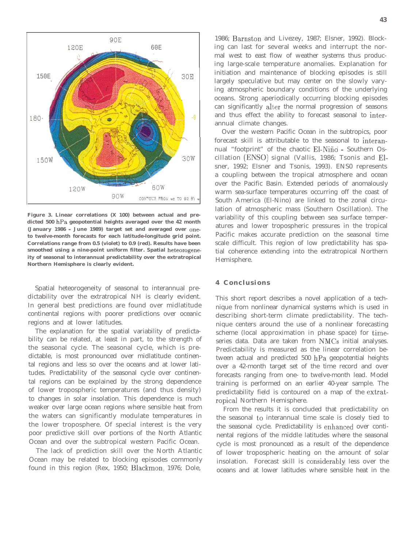

**Figure 3. Linear correlations (X 100) between actual and predicted 500 hPa geopotential heights averaged over the 42 month (January 1986 - June 1989) target set and averaged over oneto twelve-month forecasts for each latitude-longitude grid point. Correlations range from 0.5 (violet) to 0.9 (red). Results have been smoothed using a nine-point uniform filter. Spatial heteorogeneity of seasonal to interannual predictability over the extratropical Northern Hemisphere is clearly evident.**

Spatial heteorogeneity of seasonal to interannual predictability over the extratropical NH is clearly evident. In general best predictions are found over midlatitude continental regions with poorer predictions over oceanic regions and at lower latitudes.

The explanation for the spatial variability of predictability can be related, at least in part, to the strength of the seasonal cycle. The seasonal cycle, which is predictable, is most pronounced over midlatitude continental regions and less so over the oceans and at lower latitudes. Predictability of the seasonal cycle over continental regions can be explained by the strong dependence of lower tropospheric temperatures (and thus density) to changes in solar insolation. This dependence is much weaker over large ocean regions where sensible heat from the waters can significantly modulate temperatures in the lower troposphere. Of special interest is the very poor predictive skill over portions of the North Atlantic Ocean and over the subtropical western Pacific Ocean.

The lack of prediction skill over the North Atlantic Ocean may be related to blocking episodes commonly found in this region (Rex, 1950; Blackmon, 1976; Dole,

1986; Barnston and Livezey, 1987; Elsner, 1992). Blocking can last for several weeks and interrupt the normal west to east flow of weather systems thus producing large-scale temperature anomalies. Explanation for initiation and maintenance of blocking episodes is still largely speculative but may center on the slowly varying atmospheric boundary conditions of the underlying oceans. Strong aperiodically occurring blocking episodes can significantly alter the normal progression of seasons and thus effect the ability to forecast seasonal to interannual climate changes.

Over the western Pacific Ocean in the subtropics, poor forecast skill is attributable to the seasonal to interannual "footprint" of the chaotic El-Niño - Southern Oscillation (ENSO) signal (Vallis, 1986; Tsonis and Elsner, 1992; Elsner and Tsonis, 1993). ENS0 represents a coupling between the tropical atmosphere and ocean over the Pacific Basin. Extended periods of anomalously warm sea-surface temperatures occurring off the coast of South America (El-Nino) are linked to the zonal circulation of atmospheric mass (Southern Oscillation). The variability of this coupling between sea surface temperatures and lower tropospheric pressures in the tropical Pacific makes accurate prediction on the seasonal time scale difficult. This region of low predictability has spatial coherence extending into the extratropical Northern Hemisphere.

#### **4 Conclusions**

This short report describes a novel application of a technique from nonlinear dynamical systems which is used in describing short-term climate predictability. The technique centers around the use of a nonlinear forecasting scheme (local approximation in phase space) for timeseries data. Data are taken from NMCs initial analyses. Predictability is measured as the linear correlation between actual and predicted 500 hPa geopotential heights over a 42-month target set of the time record and over forecasts ranging from one- to twelve-month lead. Model training is performed on an earlier 40-year sample. The predictability field is contoured on a map of the extratropical Northern Hemisphere.

From the results it is concluded that predictability on the seasonal to interannual time scale is closely tied to the seasonal cycle. Predictability is enhanced over continental regions of the middle latitudes where the seasonal cycle is most pronounced as a result of the dependence of lower tropospheric heating on the amount of solar insolation. Forecast skill is considerably less over the oceans and at lower latitudes where sensible heat in the